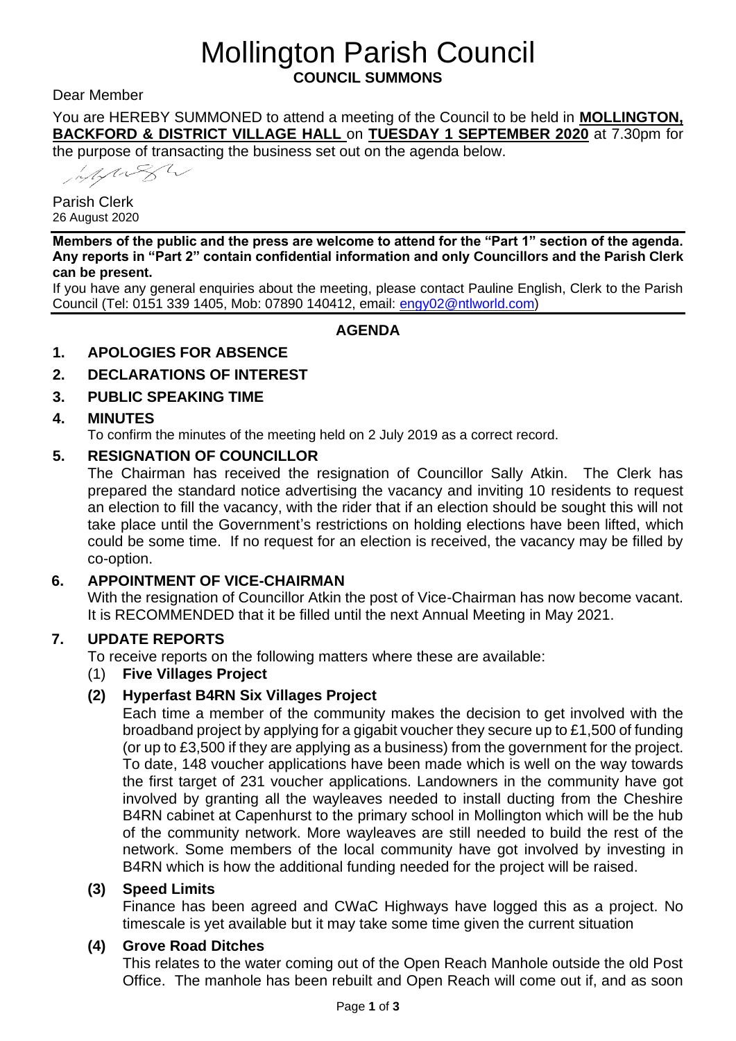# Mollington Parish Council **COUNCIL SUMMONS**

Dear Member

You are HEREBY SUMMONED to attend a meeting of the Council to be held in **MOLLINGTON, BACKFORD & DISTRICT VILLAGE HALL** on **TUESDAY 1 SEPTEMBER 2020** at 7.30pm for

the purpose of transacting the business set out on the agenda below.

Hymesh

Parish Clerk 26 August 2020

**Members of the public and the press are welcome to attend for the "Part 1" section of the agenda. Any reports in "Part 2" contain confidential information and only Councillors and the Parish Clerk can be present.**

If you have any general enquiries about the meeting, please contact Pauline English, Clerk to the Parish Council (Tel: 0151 339 1405, Mob: 07890 140412, email: [engy02@ntlworld.com\)](mailto:engy02@ntlworld.com)

## **AGENDA**

## **1. APOLOGIES FOR ABSENCE**

## **2. DECLARATIONS OF INTEREST**

## **3. PUBLIC SPEAKING TIME**

#### **4. MINUTES**

To confirm the minutes of the meeting held on 2 July 2019 as a correct record.

## **5. RESIGNATION OF COUNCILLOR**

The Chairman has received the resignation of Councillor Sally Atkin. The Clerk has prepared the standard notice advertising the vacancy and inviting 10 residents to request an election to fill the vacancy, with the rider that if an election should be sought this will not take place until the Government's restrictions on holding elections have been lifted, which could be some time. If no request for an election is received, the vacancy may be filled by co-option.

## **6. APPOINTMENT OF VICE-CHAIRMAN**

With the resignation of Councillor Atkin the post of Vice-Chairman has now become vacant. It is RECOMMENDED that it be filled until the next Annual Meeting in May 2021.

#### **7. UPDATE REPORTS**

To receive reports on the following matters where these are available:

#### (1) **Five Villages Project**

## **(2) Hyperfast B4RN Six Villages Project**

Each time a member of the community makes the decision to get involved with the broadband project by [applying for a gigabit voucher](https://hyperfast.mbdvh.org.uk/index.php?option=com_acym&ctrl=fronturl&task=click&urlid=12&userid=6&mailid=83) they secure up to £1,500 of funding (or up to £3,500 if they are applying as a business) from the government for the project. To date, 148 voucher applications have been made which is well on the way towards the first target of 231 voucher applications. Landowners in the community have got involved by granting all the [wayleaves](https://hyperfast.mbdvh.org.uk/index.php?option=com_acym&ctrl=fronturl&task=click&urlid=13&userid=6&mailid=83) needed to install ducting from the Cheshire B4RN cabinet at Capenhurst to the primary school in Mollington which will be the hub of the community network. More wayleaves are still needed to build the rest of the network. Some members of the local community have got involved by [investing in](https://hyperfast.mbdvh.org.uk/index.php?option=com_acym&ctrl=fronturl&task=click&urlid=14&userid=6&mailid=83)  [B4RN](https://hyperfast.mbdvh.org.uk/index.php?option=com_acym&ctrl=fronturl&task=click&urlid=14&userid=6&mailid=83) which is how the additional funding needed for the project will be raised.

#### **(3) Speed Limits**

Finance has been agreed and CWaC Highways have logged this as a project. No timescale is yet available but it may take some time given the current situation

#### **(4) Grove Road Ditches**

This relates to the water coming out of the Open Reach Manhole outside the old Post Office. The manhole has been rebuilt and Open Reach will come out if, and as soon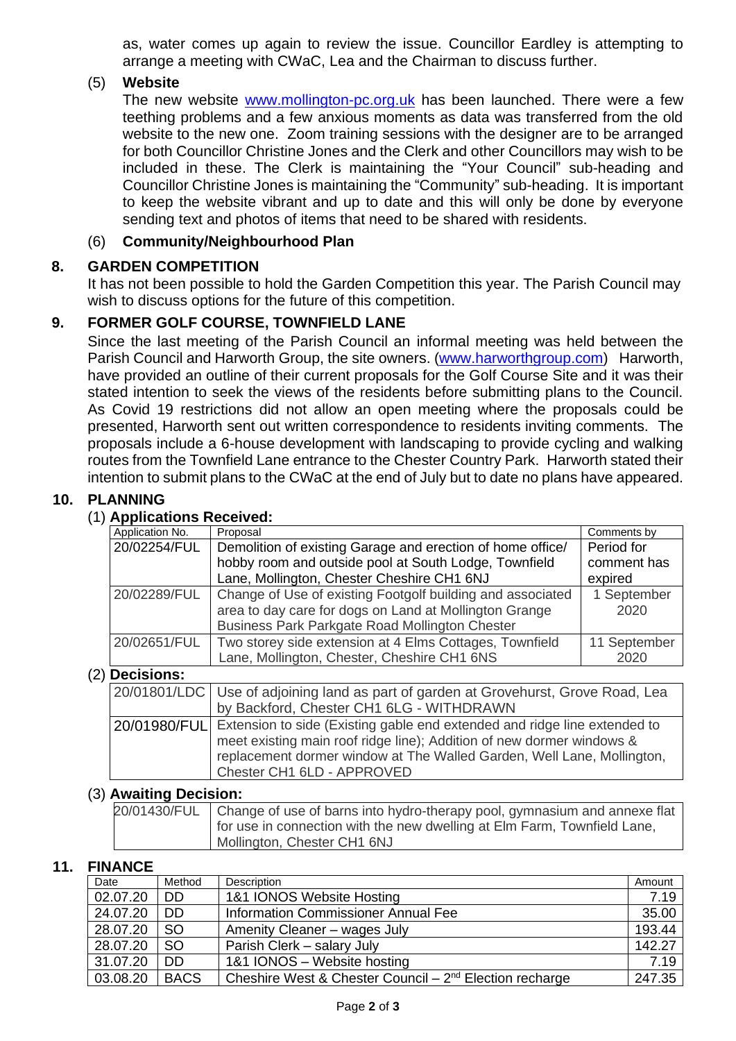as, water comes up again to review the issue. Councillor Eardley is attempting to arrange a meeting with CWaC, Lea and the Chairman to discuss further.

#### (5) **Website**

The new website [www.mollington-pc.org.uk](http://www.mollington-pc.org.uk/) has been launched. There were a few teething problems and a few anxious moments as data was transferred from the old website to the new one. Zoom training sessions with the designer are to be arranged for both Councillor Christine Jones and the Clerk and other Councillors may wish to be included in these. The Clerk is maintaining the "Your Council" sub-heading and Councillor Christine Jones is maintaining the "Community" sub-heading. It is important to keep the website vibrant and up to date and this will only be done by everyone sending text and photos of items that need to be shared with residents.

#### (6) **Community/Neighbourhood Plan**

#### **8. GARDEN COMPETITION**

It has not been possible to hold the Garden Competition this year. The Parish Council may wish to discuss options for the future of this competition.

#### **9. FORMER GOLF COURSE, TOWNFIELD LANE**

Since the last meeting of the Parish Council an informal meeting was held between the Parish Council and Harworth Group, the site owners. [\(www.harworthgroup.com\)](http://www.harworthgroup.com/) Harworth, have provided an outline of their current proposals for the Golf Course Site and it was their stated intention to seek the views of the residents before submitting plans to the Council. As Covid 19 restrictions did not allow an open meeting where the proposals could be presented, Harworth sent out written correspondence to residents inviting comments. The proposals include a 6-house development with landscaping to provide cycling and walking routes from the Townfield Lane entrance to the Chester Country Park. Harworth stated their intention to submit plans to the CWaC at the end of July but to date no plans have appeared.

#### **10. PLANNING**

#### (1) **Applications Received:**

| Application No.  | Proposal                                                                  | Comments by  |  |  |  |
|------------------|---------------------------------------------------------------------------|--------------|--|--|--|
| 20/02254/FUL     | Demolition of existing Garage and erection of home office/                | Period for   |  |  |  |
|                  | hobby room and outside pool at South Lodge, Townfield                     | comment has  |  |  |  |
|                  | Lane, Mollington, Chester Cheshire CH1 6NJ                                | expired      |  |  |  |
| 20/02289/FUL     | Change of Use of existing Footgolf building and associated                | 1 September  |  |  |  |
|                  | area to day care for dogs on Land at Mollington Grange                    | 2020         |  |  |  |
|                  | Business Park Parkgate Road Mollington Chester                            |              |  |  |  |
| 20/02651/FUL     | Two storey side extension at 4 Elms Cottages, Townfield                   | 11 September |  |  |  |
|                  | Lane, Mollington, Chester, Cheshire CH1 6NS                               | 2020         |  |  |  |
| $(2)$ Decisions: |                                                                           |              |  |  |  |
| 20/01801/LDC     | Use of adjoining land as part of garden at Grovehurst, Grove Road, Lea    |              |  |  |  |
|                  | by Backford, Chester CH1 6LG - WITHDRAWN                                  |              |  |  |  |
| 20/01980/FUL     | Extension to side (Existing gable end extended and ridge line extended to |              |  |  |  |
|                  | meet existing main roof ridge line); Addition of new dormer windows &     |              |  |  |  |
|                  | replacement dormer window at The Walled Garden, Well Lane, Mollington,    |              |  |  |  |
|                  | Chester CH1 6LD - APPROVED                                                |              |  |  |  |
|                  |                                                                           |              |  |  |  |

#### (3) **Awaiting Decision:**

| 20/01430/FUL   Change of use of barns into hydro-therapy pool, gymnasium and annexe flat |
|------------------------------------------------------------------------------------------|
| for use in connection with the new dwelling at Elm Farm, Townfield Lane,                 |
| Mollington, Chester CH1 6NJ                                                              |

#### **11. FINANCE**

| Date     | Method        | Description                                                  | Amount |
|----------|---------------|--------------------------------------------------------------|--------|
| 02.07.20 | <b>DD</b>     | 1&1 IONOS Website Hosting                                    | 7.19   |
| 24.07.20 | <b>DD</b>     | Information Commissioner Annual Fee                          | 35.00  |
| 28.07.20 | <b>SO</b>     | Amenity Cleaner - wages July                                 | 193.44 |
| 28.07.20 | <sub>SO</sub> | Parish Clerk - salary July                                   | 142.27 |
| 31.07.20 | DD.           | 1&1 IONOS - Website hosting                                  | 7.19   |
| 03.08.20 | <b>BACS</b>   | Cheshire West & Chester Council – $2^{nd}$ Election recharge | 247.35 |